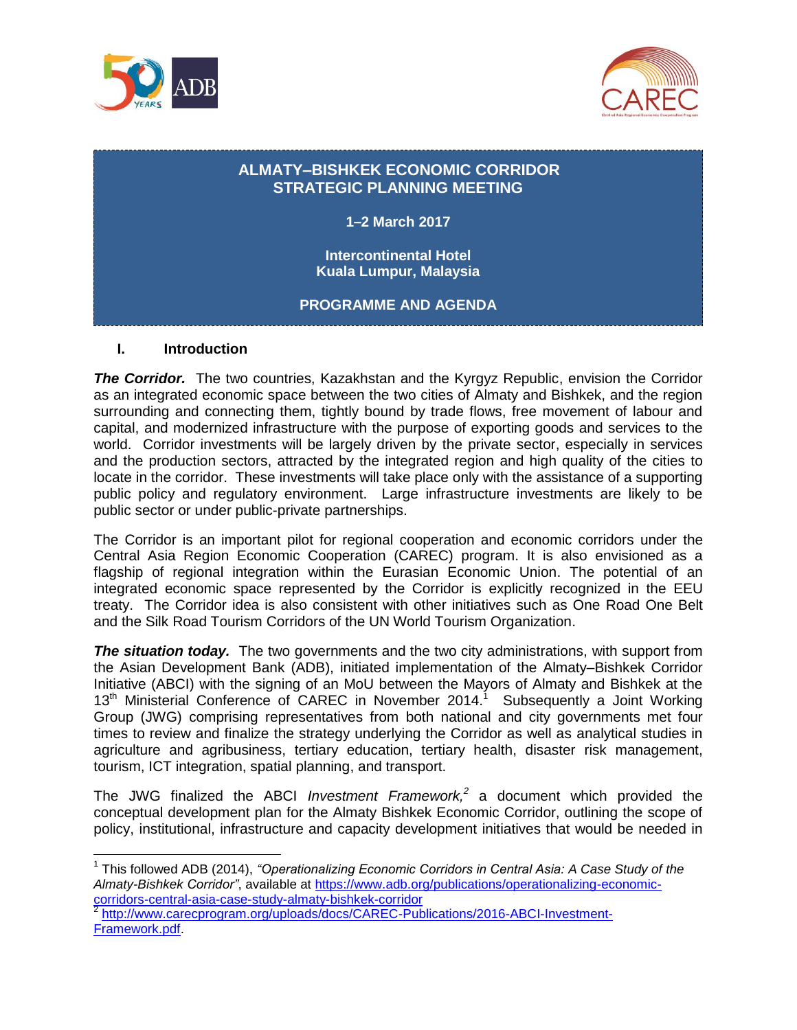



# **ALMATY–BISHKEK ECONOMIC CORRIDOR STRATEGIC PLANNING MEETING**

**1–2 March 2017**

**Intercontinental Hotel Kuala Lumpur, Malaysia**

**PROGRAMME AND AGENDA**

### **I. Introduction**

 $\overline{a}$ 

**The Corridor.** The two countries, Kazakhstan and the Kyrgyz Republic, envision the Corridor as an integrated economic space between the two cities of Almaty and Bishkek, and the region surrounding and connecting them, tightly bound by trade flows, free movement of labour and capital, and modernized infrastructure with the purpose of exporting goods and services to the world. Corridor investments will be largely driven by the private sector, especially in services and the production sectors, attracted by the integrated region and high quality of the cities to locate in the corridor. These investments will take place only with the assistance of a supporting public policy and regulatory environment. Large infrastructure investments are likely to be public sector or under public-private partnerships.

The Corridor is an important pilot for regional cooperation and economic corridors under the Central Asia Region Economic Cooperation (CAREC) program. It is also envisioned as a flagship of regional integration within the Eurasian Economic Union. The potential of an integrated economic space represented by the Corridor is explicitly recognized in the EEU treaty. The Corridor idea is also consistent with other initiatives such as One Road One Belt and the Silk Road Tourism Corridors of the UN World Tourism Organization.

**The situation today.** The two governments and the two city administrations, with support from the Asian Development Bank (ADB), initiated implementation of the Almaty–Bishkek Corridor Initiative (ABCI) with the signing of an MoU between the Mayors of Almaty and Bishkek at the  $13<sup>th</sup>$  Ministerial Conference of CAREC in November 2014.<sup>1</sup> Subsequently a Joint Working Group (JWG) comprising representatives from both national and city governments met four times to review and finalize the strategy underlying the Corridor as well as analytical studies in agriculture and agribusiness, tertiary education, tertiary health, disaster risk management, tourism, ICT integration, spatial planning, and transport.

The JWG finalized the ABCI *Investment Framework, 2* a document which provided the conceptual development plan for the Almaty Bishkek Economic Corridor, outlining the scope of policy, institutional, infrastructure and capacity development initiatives that would be needed in

<sup>&</sup>lt;sup>1</sup> This followed ADB (2014), "Operationalizing Economic Corridors in Central Asia: A Case Study of the *Almaty-Bishkek Corridor"*, available at [https://www.adb.org/publications/operationalizing-economic](https://www.adb.org/publications/operationalizing-economic-corridors-central-asia-case-study-almaty-bishkek-corridor)[corridors-central-asia-case-study-almaty-bishkek-corridor](https://www.adb.org/publications/operationalizing-economic-corridors-central-asia-case-study-almaty-bishkek-corridor) 2

[http://www.carecprogram.org/uploads/docs/CAREC-Publications/2016-ABCI-Investment-](http://www.carecprogram.org/uploads/docs/CAREC-Publications/2016-ABCI-Investment-Framework.pdf)[Framework.pdf.](http://www.carecprogram.org/uploads/docs/CAREC-Publications/2016-ABCI-Investment-Framework.pdf)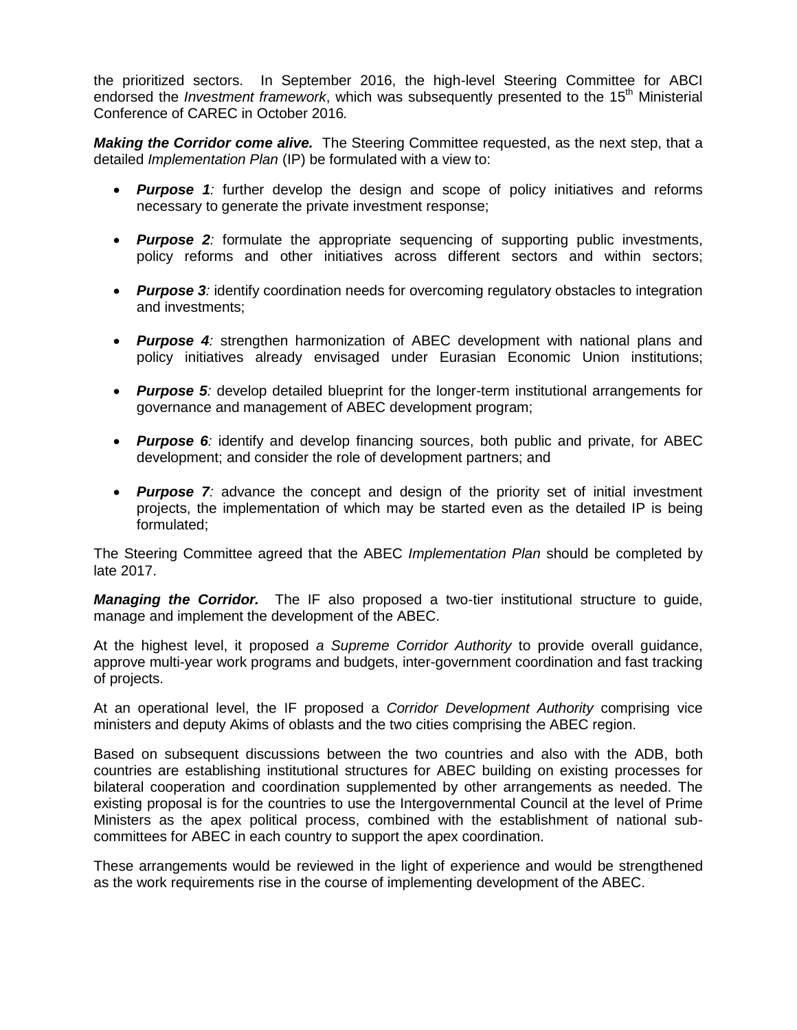the prioritized sectors. In September 2016, the high-level Steering Committee for ABCI endorsed the *Investment framework*, which was subsequently presented to the 15<sup>th</sup> Ministerial Conference of CAREC in October 2016*.* 

*Making the Corridor come alive.* The Steering Committee requested, as the next step, that a detailed *Implementation Plan* (IP) be formulated with a view to:

- *Purpose 1:* further develop the design and scope of policy initiatives and reforms necessary to generate the private investment response;
- *Purpose 2:* formulate the appropriate sequencing of supporting public investments, policy reforms and other initiatives across different sectors and within sectors;
- Purpose 3*:* identify coordination needs for overcoming regulatory obstacles to integration and investments;
- *Purpose 4:* strengthen harmonization of ABEC development with national plans and policy initiatives already envisaged under Eurasian Economic Union institutions;
- *Purpose 5:* develop detailed blueprint for the longer-term institutional arrangements for governance and management of ABEC development program;
- **Purpose 6***:* identify and develop financing sources, both public and private, for ABEC development; and consider the role of development partners; and
- **Purpose 7***:* advance the concept and design of the priority set of initial investment projects, the implementation of which may be started even as the detailed IP is being formulated;

The Steering Committee agreed that the ABEC *Implementation Plan* should be completed by late 2017.

*Managing the Corridor.* The IF also proposed a two-tier institutional structure to guide, manage and implement the development of the ABEC.

At the highest level, it proposed *a Supreme Corridor Authority* to provide overall guidance, approve multi-year work programs and budgets, inter-government coordination and fast tracking of projects.

At an operational level, the IF proposed a *Corridor Development Authority* comprising vice ministers and deputy Akims of oblasts and the two cities comprising the ABEC region.

Based on subsequent discussions between the two countries and also with the ADB, both countries are establishing institutional structures for ABEC building on existing processes for bilateral cooperation and coordination supplemented by other arrangements as needed. The existing proposal is for the countries to use the Intergovernmental Council at the level of Prime Ministers as the apex political process, combined with the establishment of national subcommittees for ABEC in each country to support the apex coordination.

These arrangements would be reviewed in the light of experience and would be strengthened as the work requirements rise in the course of implementing development of the ABEC.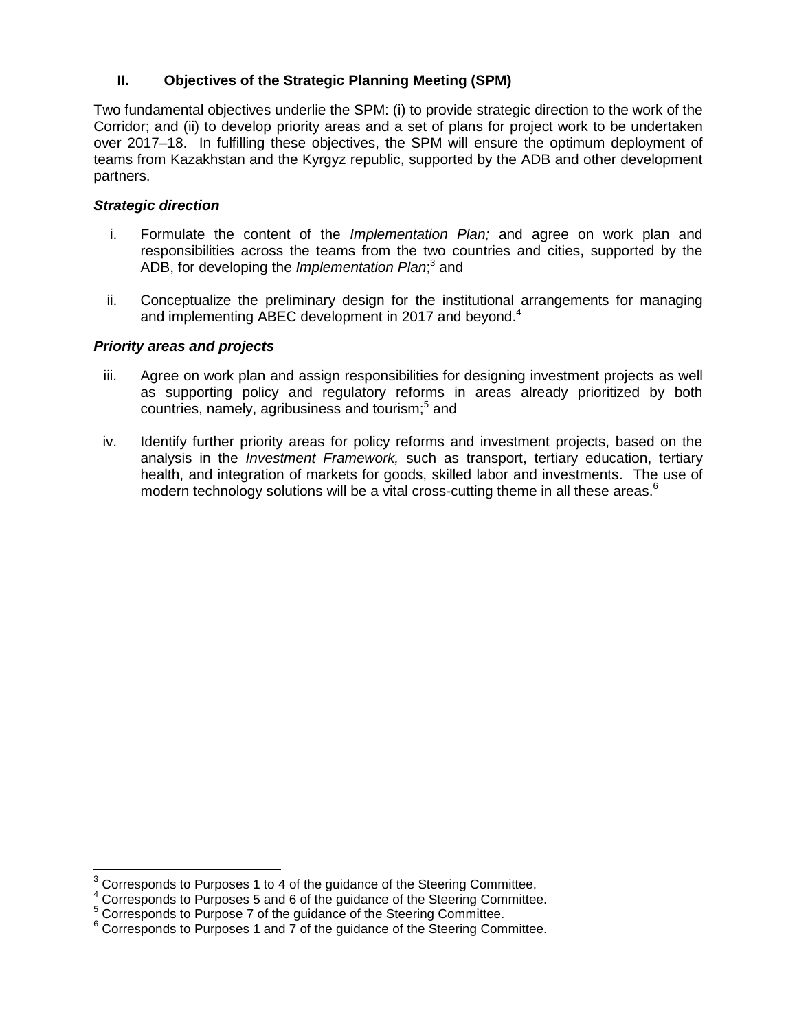## **II. Objectives of the Strategic Planning Meeting (SPM)**

Two fundamental objectives underlie the SPM: (i) to provide strategic direction to the work of the Corridor; and (ii) to develop priority areas and a set of plans for project work to be undertaken over 2017–18. In fulfilling these objectives, the SPM will ensure the optimum deployment of teams from Kazakhstan and the Kyrgyz republic, supported by the ADB and other development partners.

#### *Strategic direction*

- i. Formulate the content of the *Implementation Plan;* and agree on work plan and responsibilities across the teams from the two countries and cities, supported by the ADB, for developing the *Implementation Plan*;<sup>3</sup> and
- ii. Conceptualize the preliminary design for the institutional arrangements for managing and implementing ABEC development in 2017 and beyond.<sup>4</sup>

#### *Priority areas and projects*

 $\overline{\phantom{a}}$ 

- iii. Agree on work plan and assign responsibilities for designing investment projects as well as supporting policy and regulatory reforms in areas already prioritized by both countries, namely, agribusiness and tourism;<sup>5</sup> and
- iv. Identify further priority areas for policy reforms and investment projects, based on the analysis in the *Investment Framework,* such as transport, tertiary education, tertiary health, and integration of markets for goods, skilled labor and investments. The use of modern technology solutions will be a vital cross-cutting theme in all these areas. $6$

 $3$  Corresponds to Purposes 1 to 4 of the guidance of the Steering Committee.

<sup>4</sup> Corresponds to Purposes 5 and 6 of the guidance of the Steering Committee.

<sup>&</sup>lt;sup>5</sup> Corresponds to Purpose 7 of the guidance of the Steering Committee.

 $6$  Corresponds to Purposes 1 and 7 of the guidance of the Steering Committee.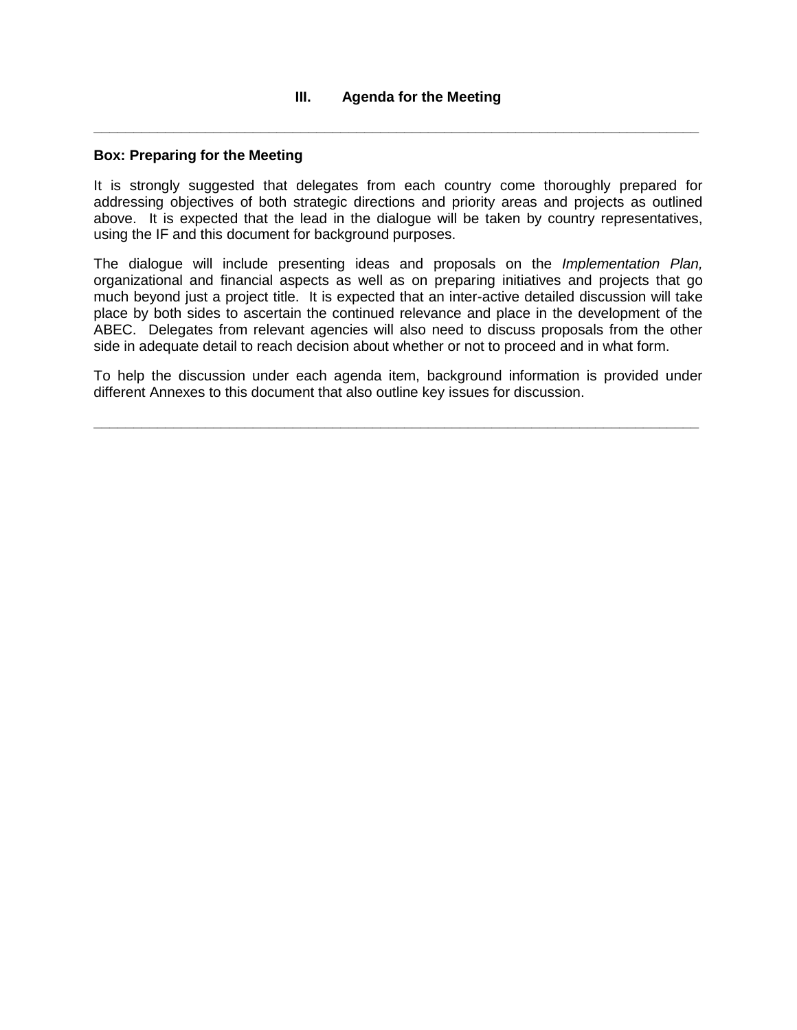**\_\_\_\_\_\_\_\_\_\_\_\_\_\_\_\_\_\_\_\_\_\_\_\_\_\_\_\_\_\_\_\_\_\_\_\_\_\_\_\_\_\_\_\_\_\_\_\_\_\_\_\_\_\_\_\_\_\_\_\_\_\_\_\_\_\_\_\_\_\_\_\_\_\_\_\_**

#### **Box: Preparing for the Meeting**

It is strongly suggested that delegates from each country come thoroughly prepared for addressing objectives of both strategic directions and priority areas and projects as outlined above. It is expected that the lead in the dialogue will be taken by country representatives, using the IF and this document for background purposes.

The dialogue will include presenting ideas and proposals on the *Implementation Plan,*  organizational and financial aspects as well as on preparing initiatives and projects that go much beyond just a project title. It is expected that an inter-active detailed discussion will take place by both sides to ascertain the continued relevance and place in the development of the ABEC. Delegates from relevant agencies will also need to discuss proposals from the other side in adequate detail to reach decision about whether or not to proceed and in what form.

To help the discussion under each agenda item, background information is provided under different Annexes to this document that also outline key issues for discussion.

**\_\_\_\_\_\_\_\_\_\_\_\_\_\_\_\_\_\_\_\_\_\_\_\_\_\_\_\_\_\_\_\_\_\_\_\_\_\_\_\_\_\_\_\_\_\_\_\_\_\_\_\_\_\_\_\_\_\_\_\_\_\_\_\_\_\_\_\_\_\_\_\_\_\_\_\_**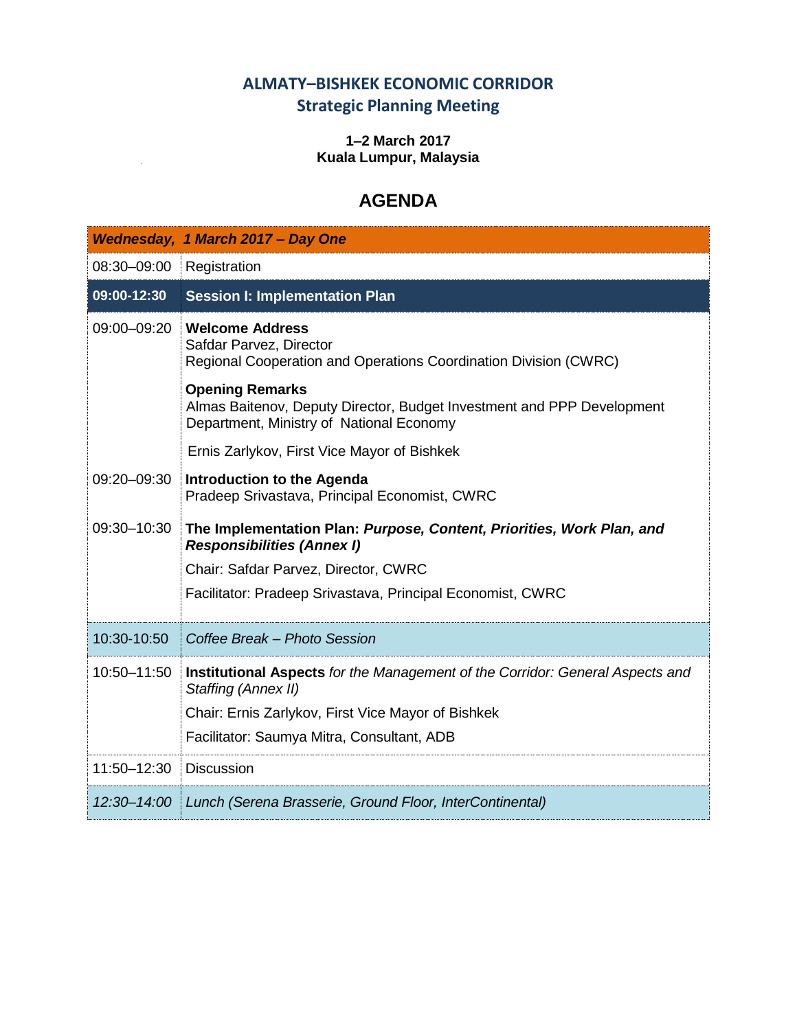# **ALMATY–BISHKEK ECONOMIC CORRIDOR Strategic Planning Meeting**

### **1–2 March 2017 Kuala Lumpur, Malaysia**

# **AGENDA**

|             | Wednesday, 1 March 2017 - Day One                                                                                                            |
|-------------|----------------------------------------------------------------------------------------------------------------------------------------------|
| 08:30-09:00 | Registration                                                                                                                                 |
| 09:00-12:30 | <b>Session I: Implementation Plan</b>                                                                                                        |
| 09:00-09:20 | <b>Welcome Address</b><br>Safdar Parvez, Director<br>Regional Cooperation and Operations Coordination Division (CWRC)                        |
|             | <b>Opening Remarks</b><br>Almas Baitenov, Deputy Director, Budget Investment and PPP Development<br>Department, Ministry of National Economy |
|             | Ernis Zarlykov, First Vice Mayor of Bishkek                                                                                                  |
| 09:20-09:30 | <b>Introduction to the Agenda</b><br>Pradeep Srivastava, Principal Economist, CWRC                                                           |
| 09:30-10:30 | The Implementation Plan: Purpose, Content, Priorities, Work Plan, and<br><b>Responsibilities (Annex I)</b>                                   |
|             | Chair: Safdar Parvez, Director, CWRC                                                                                                         |
|             | Facilitator: Pradeep Srivastava, Principal Economist, CWRC                                                                                   |
| 10:30-10:50 | Coffee Break - Photo Session                                                                                                                 |
| 10:50-11:50 | Institutional Aspects for the Management of the Corridor: General Aspects and<br>Staffing (Annex II)                                         |
|             | Chair: Ernis Zarlykov, First Vice Mayor of Bishkek                                                                                           |
|             | Facilitator: Saumya Mitra, Consultant, ADB                                                                                                   |
| 11:50-12:30 | <b>Discussion</b>                                                                                                                            |
|             | 12:30-14:00   Lunch (Serena Brasserie, Ground Floor, InterContinental)                                                                       |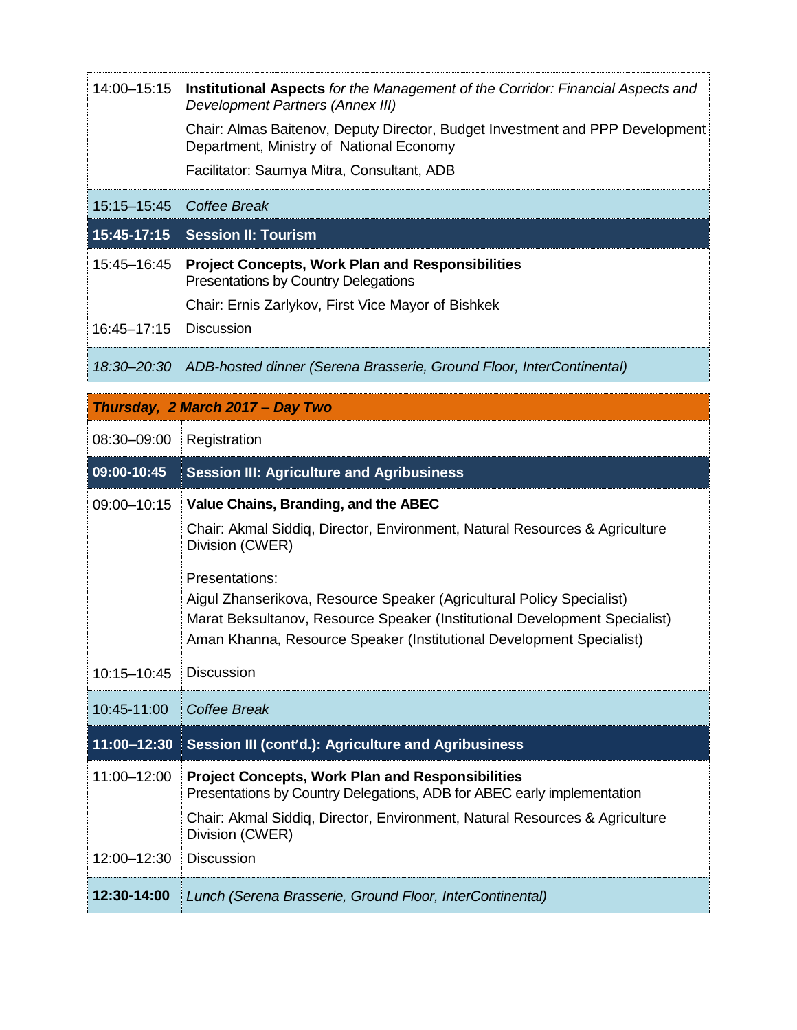| 14:00-15:15                      | <b>Institutional Aspects</b> for the Management of the Corridor: Financial Aspects and<br>Development Partners (Annex III)<br>Chair: Almas Baitenov, Deputy Director, Budget Investment and PPP Development<br>Department, Ministry of National Economy<br>Facilitator: Saumya Mitra, Consultant, ADB                                                                                   |  |
|----------------------------------|-----------------------------------------------------------------------------------------------------------------------------------------------------------------------------------------------------------------------------------------------------------------------------------------------------------------------------------------------------------------------------------------|--|
| 15:15-15:45                      | Coffee Break                                                                                                                                                                                                                                                                                                                                                                            |  |
| 15:45-17:15                      | <b>Session II: Tourism</b>                                                                                                                                                                                                                                                                                                                                                              |  |
| 15:45-16:45<br>16:45-17:15       | <b>Project Concepts, Work Plan and Responsibilities</b><br><b>Presentations by Country Delegations</b><br>Chair: Ernis Zarlykov, First Vice Mayor of Bishkek<br><b>Discussion</b>                                                                                                                                                                                                       |  |
| 18:30-20:30                      | ADB-hosted dinner (Serena Brasserie, Ground Floor, InterContinental)                                                                                                                                                                                                                                                                                                                    |  |
| Thursday, 2 March 2017 - Day Two |                                                                                                                                                                                                                                                                                                                                                                                         |  |
| 08:30-09:00                      | Registration                                                                                                                                                                                                                                                                                                                                                                            |  |
| 09:00-10:45                      | <b>Session III: Agriculture and Agribusiness</b>                                                                                                                                                                                                                                                                                                                                        |  |
|                                  |                                                                                                                                                                                                                                                                                                                                                                                         |  |
| 09:00-10:15                      | Value Chains, Branding, and the ABEC<br>Chair: Akmal Siddiq, Director, Environment, Natural Resources & Agriculture<br>Division (CWER)<br>Presentations:<br>Aigul Zhanserikova, Resource Speaker (Agricultural Policy Specialist)<br>Marat Beksultanov, Resource Speaker (Institutional Development Specialist)<br>Aman Khanna, Resource Speaker (Institutional Development Specialist) |  |
| 10:15-10:45                      | <b>Discussion</b>                                                                                                                                                                                                                                                                                                                                                                       |  |
| 10:45-11:00                      | <b>Coffee Break</b>                                                                                                                                                                                                                                                                                                                                                                     |  |
| 11:00-12:30                      | Session III (cont'd.): Agriculture and Agribusiness                                                                                                                                                                                                                                                                                                                                     |  |
| 11:00-12:00<br>12:00-12:30       | <b>Project Concepts, Work Plan and Responsibilities</b><br>Presentations by Country Delegations, ADB for ABEC early implementation<br>Chair: Akmal Siddiq, Director, Environment, Natural Resources & Agriculture<br>Division (CWER)<br><b>Discussion</b>                                                                                                                               |  |